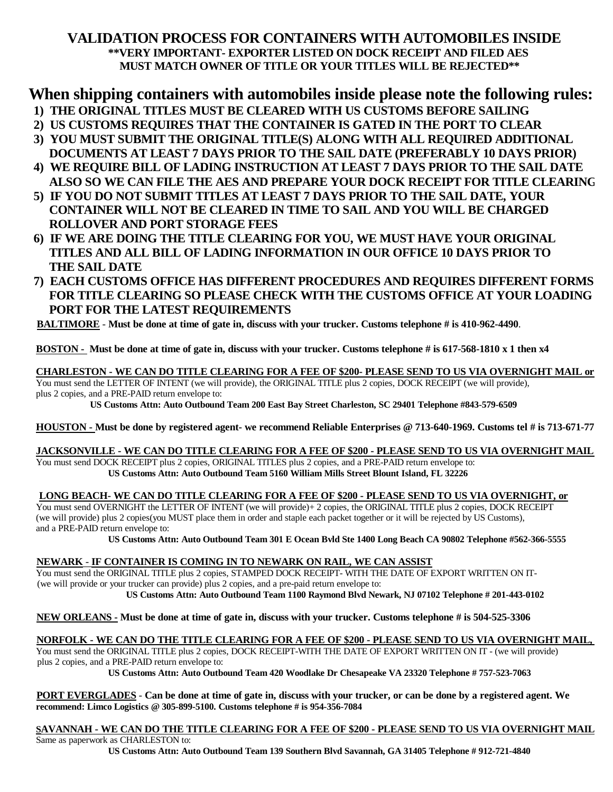## **VALIDATION PROCESS FOR CONTAINERS WITH AUTOMOBILES INSIDE \*\*VERY IMPORTANT- EXPORTER LISTED ON DOCK RECEIPT AND FILED AES MUST MATCH OWNER OF TITLE OR YOUR TITLES WILL BE REJECTED\*\***

## **When shipping containers with automobiles inside please note the following rules:**

- **1) THE ORIGINAL TITLES MUST BE CLEARED WITH US CUSTOMS BEFORE SAILING**
- **2) US CUSTOMS REQUIRES THAT THE CONTAINER IS GATED IN THE PORT TO CLEAR**
- **3) YOU MUST SUBMIT THE ORIGINAL TITLE(S) ALONG WITH ALL REQUIRED ADDITIONAL DOCUMENTS AT LEAST 7 DAYS PRIOR TO THE SAIL DATE (PREFERABLY 10 DAYS PRIOR)**
- **4) WE REQUIRE BILL OF LADING INSTRUCTION AT LEAST 7 DAYS PRIOR TO THE SAIL DATE ALSO SO WE CAN FILE THE AES AND PREPARE YOUR DOCK RECEIPT FOR TITLE CLEARING**
- **5) IF YOU DO NOT SUBMIT TITLES AT LEAST 7 DAYS PRIOR TO THE SAIL DATE, YOUR CONTAINER WILL NOT BE CLEARED IN TIME TO SAIL AND YOU WILL BE CHARGED ROLLOVER AND PORT STORAGE FEES**
- **6) IF WE ARE DOING THE TITLE CLEARING FOR YOU, WE MUST HAVE YOUR ORIGINAL TITLES AND ALL BILL OF LADING INFORMATION IN OUR OFFICE 10 DAYS PRIOR TO THE SAIL DATE**
- **7) EACH CUSTOMS OFFICE HAS DIFFERENT PROCEDURES AND REQUIRES DIFFERENT FORMS FOR TITLE CLEARING SO PLEASE CHECK WITH THE CUSTOMS OFFICE AT YOUR LOADING PORT FOR THE LATEST REQUIREMENTS**

BALTIMORE - Must be done at time of gate in, discuss with your trucker. Customs telephone # is 410-962-4490.

#### BOSTON - Must be done at time of gate in, discuss with your trucker. Customs telephone # is 617-568-1810 x 1 then x4

**CHARLESTON - WE CAN DO TITLE CLEARING FOR A FEE OF \$200- PLEASE SEND TO US VIA OVERNIGHT MAIL or** You must send the LETTER OF INTENT (we will provide), the ORIGINAL TITLE plus 2 copies, DOCK RECEIPT (we will provide), plus 2 copies, and a PRE-PAID return envelope to:

**US Customs Attn: Auto Outbound Team 200 East Bay Street Charleston, SC 29401 Telephone #843-579-6509**

HOUSTON - Must be done by registered agent- we recommend Reliable Enterprises @ 713-640-1969. Customs tel # is 713-671-77

#### JACKSONVILLE - WE CAN DO TITLE CLEARING FOR A FEE OF \$200 - PLEASE SEND TO US VIA OVERNIGHT MAIL You must send DOCK RECEIPT plus 2 copies, ORIGINAL TITLES plus 2 copies, and a PRE-PAID return envelope to:

**US Customs Attn: Auto Outbound Team 5160 William Mills Street Blount Island, FL 32226** 

#### **LONG BEACH- WE CAN DO TITLE CLEARING FOR A FEE OF \$200 - PLEASE SEND TO US VIA OVERNIGHT, or**

You must send OVERNIGHT the LETTER OF INTENT (we will provide)+ 2 copies, the ORIGINAL TITLE plus 2 copies, DOCK RECEIPT (we will provide) plus 2 copies(you MUST place them in order and staple each packet together or it will be rejected by US Customs), and a PRE-PAID return envelope to:

US Customs Attn: Auto Outbound Team 301 E Ocean Bvld Ste 1400 Long Beach CA 90802 Telephone #562-366-5555

### **NEWARK** - **IF CONTAINER IS COMING IN TO NEWARK ON RAIL, WE CAN ASSIST**

You must send the ORIGINAL TITLE plus 2 copies, STAMPED DOCK RECEIPT- WITH THE DATE OF EXPORT WRITTEN ON IT- (we will provide or your trucker can provide) plus 2 copies, and a pre-paid return envelope to: **US Customs Attn: Auto Outbound Team 1100 Raymond Blvd Newark, NJ 07102 Telephone # 201-443-0102**

NEW ORLEANS - Must be done at time of gate in, discuss with your trucker. Customs telephone # is 504-525-3306

# NORFOLK - WE CAN DO THE TITLE CLEARING FOR A FEE OF \$200 - PLEASE SEND TO US VIA OVERNIGHT MAIL,

You must send the ORIGINAL TITLE plus 2 copies, DOCK RECEIPT-WITH THE DATE OF EXPORT WRITTEN ON IT - (we will provide) plus 2 copies, and a PRE-PAID return envelope to:

**US Customs Attn: Auto Outbound Team 420 Woodlake Dr Chesapeake VA 23320 Telephone # 757-523-7063**

PORT EVERGLADES - Can be done at time of gate in, discuss with your trucker, or can be done by a registered agent. We **recommend: Limco Logistics @ 305-899-5100. Customs telephone # is 954-356-7084**

### SAVANNAH - WE CAN DO THE TITLE CLEARING FOR A FEE OF \$200 - PLEASE SEND TO US VIA OVERNIGHT MAIL

Same as paperwork as CHARLESTON to: **US Customs Attn: Auto Outbound Team 139 Southern Blvd Savannah, GA 31405 Telephone # 912-721-4840**